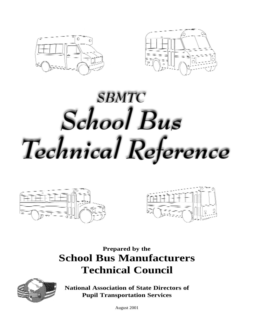



# **SBMTC** School Bus Technical Reference





### **Prepared by the School Bus Manufacturers Technical Council**



**National Association of State Directors of Pupil Transportation Services**

August 2001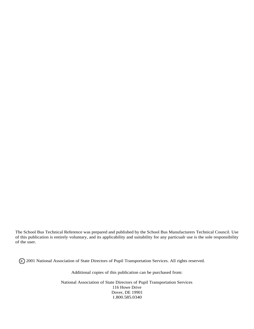The School Bus Technical Reference was prepared and published by the School Bus Manufacturers Technical Council. Use of this publication is entirely voluntary, and its applicability and suitability for any particualr use is the sole responsibility of the user.

2001 National Association of State Directors of Pupil Transportation Services. All rights reserved. **C**

Additional copies of this publication can be purchased from:

National Association of State Directors of Pupil Transportation Services 116 Howe Drive Dover, DE 19901 1.800.585.0340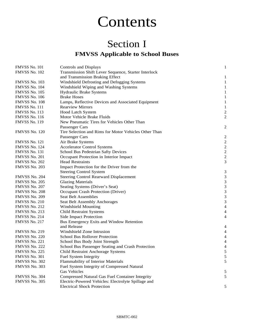### Contents

### Section I **FMVSS Applicable to School Buses**

| FMVSS No. 101        | Controls and Displays                                 | $\mathbf{1}$                                         |
|----------------------|-------------------------------------------------------|------------------------------------------------------|
| FMVSS No. 102        | Transmission Shift Lever Sequence, Starter Interlock  |                                                      |
|                      | and Transmission Braking Effect                       | 1                                                    |
| FMVSS No. 103        | Windshield Defrosting and Defogging Systems           | 1                                                    |
| FMVSS No. 104        | Windshield Wiping and Washing Systems                 | $\mathbf{1}$                                         |
| <b>FMVSS No. 105</b> | Hydraulic Brake Systems                               | $\mathbf{1}$                                         |
| FMVSS No. 106        | <b>Brake Hoses</b>                                    | $\mathbf{1}$                                         |
| FMVSS No. 108        | Lamps, Reflective Devices and Associated Equipment    | $\mathbf{1}$                                         |
| FMVSS No. 111        | <b>Rearview Mirrors</b>                               | $\mathbf{1}$                                         |
| FMVSS No. 113        | Hood Latch System                                     | $\overline{c}$                                       |
| <b>FMVSS No. 116</b> | Motor Vehicle Brake Fluids                            | $\overline{2}$                                       |
| <b>FMVSS No. 119</b> | New Pneumatic Tires for Vehicles Other Than           |                                                      |
|                      | Passenger Cars                                        | 2                                                    |
| FMVSS No. 120        | Tire Selection and Rims for Motor Vehicles Other Than |                                                      |
|                      | Passenger Cars                                        | $\overline{\mathbf{c}}$                              |
| FMVSS No. 121        | Air Brake Systems                                     | $\overline{c}$                                       |
| FMVSS No. 124        | <b>Accelerator Control Systems</b>                    |                                                      |
| FMVSS No. 131        | School Bus Pedestrian Safty Devices                   | $\begin{array}{c} 2 \\ 2 \\ 2 \end{array}$           |
| <b>FMVSS No. 201</b> | Occupant Protection in Interior Impact                |                                                      |
| FMVSS No. 202        | <b>Head Restraints</b>                                | 3                                                    |
| FMVSS No. 203        | Impact Protection for the Driver from the             |                                                      |
|                      | <b>Steering Control System</b>                        | $\mathfrak{Z}$                                       |
| FMVSS No. 204        | <b>Steering Control Rearward Displacement</b>         | $\mathfrak{Z}$                                       |
| <b>FMVSS No. 205</b> | <b>Glazing Materials</b>                              | $\begin{array}{c} 3 \\ 3 \\ 3 \\ 3 \\ 3 \end{array}$ |
| FMVSS No. 207        | Seating Systems (Driver's Seat)                       |                                                      |
| FMVSS No. 208        | Occupant Crash Protection (Driver)                    |                                                      |
| <b>FMVSS No. 209</b> | Seat Belt Assemblies                                  |                                                      |
| FMVSS No. 210        | Seat Belt Assembly Anchorages                         |                                                      |
| FMVSS No. 212        | <b>Windshield Mounting</b>                            | $\overline{4}$                                       |
| FMVSS No. 213        | <b>Child Restraint Systems</b>                        | 4                                                    |
| FMVSS No. 214        | <b>Side Impact Protection</b>                         | $\overline{\mathbf{4}}$                              |
| FMVSS No. 217        | Bus Emergency Exits and Window Retention              |                                                      |
|                      | and Release                                           | 4                                                    |
| FMVSS No. 219        | Windshield Zone Intrusion                             | $\overline{\mathcal{A}}$                             |
| FMVSS No. 220        | <b>School Bus Rollover Protection</b>                 | $\overline{\mathcal{A}}$                             |
| FMVSS No. 221        | School Bus Body Joint Strength                        | $\overline{\mathcal{A}}$                             |
| FMVSS No. 222        | School Bus Passenger Seating and Crash Protection     | 4                                                    |
| FMVSS No. 225        | Child Restraint Anchorage Systems                     | $\mathcal{L}$                                        |
| FMVSS No. 301        | Fuel System Integrity                                 | $\sqrt{5}$                                           |
| FMVSS No. 302        | Flammability of Interior Materials                    | 5                                                    |
| FMVSS No. 303        | Fuel System Integrity of Compressed Natural           |                                                      |
|                      | <b>Gas Vehicles</b>                                   | 5                                                    |
| FMVSS No. 304        | Compressed Natural Gas Fuel Container Integrity       | $\sqrt{5}$                                           |
| FMVSS No. 305        | Electric-Powered Vehicles: Electrolyte Spillage and   |                                                      |
|                      | <b>Electrical Shock Protection</b>                    | 5                                                    |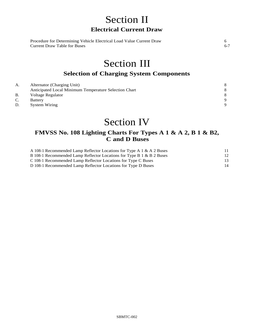### Section II **Electrical Current Draw**

| Procedure for Determining Vehicle Electrical Load Value Current Draw |  |
|----------------------------------------------------------------------|--|
| Current Draw Table for Buses                                         |  |

### Section III

#### **Selection of Charging System Components**

| А. | Alternator (Charging Unit)                            |          |
|----|-------------------------------------------------------|----------|
|    | Anticipated Local Minimum Temperature Selection Chart |          |
| B. | Voltage Regulator                                     | 8        |
| J. | Battery                                               | $\Omega$ |
|    | <b>System Wiring</b>                                  | $\Omega$ |

### Section IV

#### **FMVSS No. 108 Lighting Charts For Types A 1 & A 2, B 1 & B2, C and D Buses**

| A 108-1 Recommended Lamp Reflector Locations for Type A 1 & A 2 Buses |    |
|-----------------------------------------------------------------------|----|
| B 108-1 Recommended Lamp Reflector Locations for Type B 1 & B 2 Buses |    |
| C 108-1 Recommended Lamp Reflector Locations for Type C Buses         |    |
| D 108-1 Recommended Lamp Reflector Locations for Type D Buses         | 14 |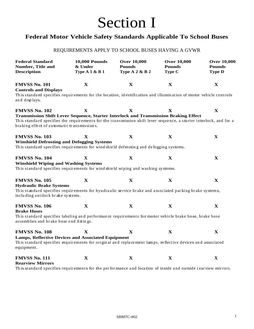## Section I

#### **Federal Motor Vehicle Safety Standards Applicable To School Buses**

#### REQUIREMENTS APPLY TO SCHOOL BUSES HAVING A GVWR

| <b>Federal Standard</b><br>Number, Title and<br><b>Description</b>                                                                                                                                                                                                               | <b>10,000 Pounds</b><br>& Under<br><b>Type A 1 &amp; B 1</b> | <b>Over 10,000</b><br><b>Over 10,000</b><br><b>Pounds</b><br><b>Pounds</b><br><b>Type A 2 &amp; B 2</b><br>Type C |                                            |             |  |
|----------------------------------------------------------------------------------------------------------------------------------------------------------------------------------------------------------------------------------------------------------------------------------|--------------------------------------------------------------|-------------------------------------------------------------------------------------------------------------------|--------------------------------------------|-------------|--|
| <b>FMVSS No. 101</b><br><b>Controls and Displays</b><br>This standard specifies requirements for the location, identification and illumination of motor vehicle controls<br>and displays.                                                                                        | $\mathbf{X}$                                                 | $\mathbf{X}$                                                                                                      | $\mathbf X$                                | $\mathbf X$ |  |
| <b>FMVSS No. 102</b><br>Transmission Shift Lever Sequence, Starter Interlock and Transmission Braking Effect<br>This standard specifies the requirements for the transmission shift lever sequence, a starter interlock, and for a<br>braking effect of automatic transmissions. | $\mathbf X$                                                  | $\mathbf{X}$                                                                                                      | $\mathbf X$                                | $\mathbf X$ |  |
| <b>FMVSS No. 103</b><br><b>Winshield Defrosting and Defogging Systems</b><br>This standard specifies requirements for wind shield defrosting and defogging systems.                                                                                                              | X                                                            | $\mathbf X$                                                                                                       | $\mathbf X$                                | X           |  |
| <b>FMVSS No. 104</b><br><b>Winshield Wiping and Washing Systems</b><br>This standard specifies requirements for wind shield wiping and washing systems.                                                                                                                          | X                                                            | $\mathbf X$                                                                                                       | $\mathbf X$                                | $\mathbf X$ |  |
| <b>FMVSS No. 105</b><br><b>Hydraulic Brake Systems</b><br>This standard specifies requirements for hyudraulic service brake and associated parking brake systems,<br>including antilock brake systems.                                                                           | $\mathbf X$                                                  | $\mathbf X$                                                                                                       | $\mathbf{X}$                               | $\mathbf X$ |  |
| <b>FMVSS No. 106</b><br><b>Brake Hoses</b><br>This standard specifies labeling and performance requirements for motor vehicle brake hose, brake hose<br>assemblies and brake hose end fittings.                                                                                  | $\mathbf X$                                                  | $\mathbf{X}$                                                                                                      | $\mathbf X$                                | $\mathbf X$ |  |
| <b>FMVSS No. 108</b><br><b>Lamps, Reflective Devices and Associated Equipment</b><br>This standard specifies requirements for original and replacement lamps, reflective devices and associated<br>equipment.                                                                    | X                                                            | $\mathbf X$                                                                                                       | X                                          | $\mathbf X$ |  |
| <b>FMVSS No. 111</b><br><b>Rearview Mirrors</b>                                                                                                                                                                                                                                  | $\mathbf X$<br>$\sim$ $\sim$ $\sim$ $\sim$                   | $\mathbf{X}$<br>$\sim$ $\sim$                                                                                     | $\mathbf X$<br>$\sim$ $\sim$ $\sim$ $\sim$ | X           |  |

Th is standard specifies requirements for the per formance and location of inside and outside rear view mirrors.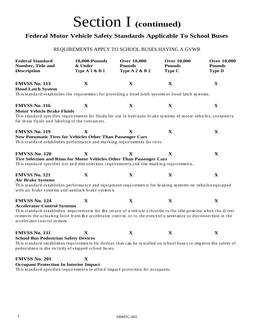#### **Federal Motor Vehicle Safety Standards Applicable To School Buses**

#### REQUIREMENTS APPLY TO SCHOOL BUSES HAVING A GVWR

| <b>Federal Standard</b><br>Number, Title and<br><b>Description</b>                                                                                                                                                                                                                                                                  | <b>10,000 Pounds</b><br>& Under<br><b>Type A 1 &amp; B 1</b> | <b>Over 10,000</b><br><b>Pounds</b><br><b>Type A 2 &amp; B 2</b> | <b>Over 10,000</b><br><b>Pounds</b><br>Type C | <b>Over 10,000</b><br><b>Pounds</b><br><b>Type D</b> |  |
|-------------------------------------------------------------------------------------------------------------------------------------------------------------------------------------------------------------------------------------------------------------------------------------------------------------------------------------|--------------------------------------------------------------|------------------------------------------------------------------|-----------------------------------------------|------------------------------------------------------|--|
| <b>FMVSS No. 113</b><br><b>Hood Latch System</b><br>This standard establishes the requirement for providing a hood latch system or hood latch systems.                                                                                                                                                                              | $\mathbf X$                                                  | $\mathbf X$                                                      | $\mathbf X$                                   | $\mathbf X$                                          |  |
| <b>FMVSS No. 116</b><br><b>Motor Vehicle Brake Fluids</b><br>This standard specifies requirements for fluids for use in hydraulic brake systems of motor vehicles, containers<br>for these fluids and labeling of the containers.                                                                                                   | $\mathbf X$                                                  | $\mathbf X$                                                      | X                                             | X                                                    |  |
| <b>FMVSS No. 119</b><br>New Pneumatic Tires for Vehicles Other Than Passenger Cars<br>This standard establishes performance and marking requirements for tires.                                                                                                                                                                     | $\mathbf X$                                                  | X                                                                | $\mathbf X$                                   | X                                                    |  |
| <b>FMVSS No. 120</b><br>Tire Selection and Rims for Motor Vehicles Other Than Passenger Cars<br>This standard specifies tire and rim selection requirements and rim marking requirements.                                                                                                                                           | $\mathbf X$                                                  | $\mathbf{X}$                                                     | $\mathbf X$                                   | $\mathbf X$                                          |  |
| <b>FMVSS No. 121</b><br><b>Air Brake Systems</b><br>This standard establishes performance and equipment requirements for braking systems on vehicles equipped<br>with air brake systems and antilock brake systems.                                                                                                                 | $\mathbf X$                                                  | $\mathbf X$                                                      | $\mathbf X$                                   | $\mathbf X$                                          |  |
| <b>FMVSS No. 124</b><br><b>Accelerator Control Systems</b><br>This standard establishes requirements for the return of a vehicle's throttle to the idle position when the driver<br>removes the actuating force from the accelerator control, or in the event of a severance or disconnection in the<br>accelerator control system. | $\mathbf X$                                                  | $\mathbf X$                                                      | $\mathbf X$                                   | $\mathbf X$                                          |  |
| <b>FMVSS No. 131</b><br><b>School Bus Pedestrian Safety Devices</b><br>This standard establishes requirements for devices that can be installed on school buses to improve the safety of<br>pedestrians in the vicinity of stopped school buses.                                                                                    | X                                                            | $\mathbf X$                                                      | X                                             | $\mathbf X$                                          |  |
| <b>FMVSS No. 201</b><br><b>Occupant Protection In Interior Impact</b><br>This standard specifies requirements to afford impact protection for occupants.                                                                                                                                                                            | X                                                            |                                                                  |                                               |                                                      |  |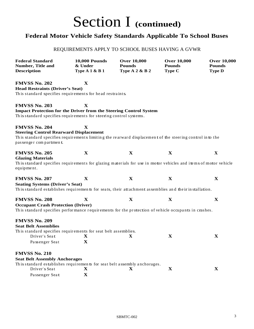#### **Federal Motor Vehicle Safety Standards Applicable To School Buses**

#### REQUIREMENTS APPLY TO SCHOOL BUSES HAVING A GVWR

| <b>Federal Standard</b><br>Number, Title and<br><b>Description</b>                                                                 | <b>10,000 Pounds</b><br>& Under<br><b>Type A 1 &amp; B 1</b> | <b>Over 10,000</b><br><b>Pounds</b><br><b>Type A 2 &amp; B 2</b> | <b>Over 10,000</b><br><b>Pounds</b><br>Type C | <b>Over 10,000</b><br><b>Pounds</b><br><b>Type D</b> |
|------------------------------------------------------------------------------------------------------------------------------------|--------------------------------------------------------------|------------------------------------------------------------------|-----------------------------------------------|------------------------------------------------------|
| <b>FMVSS No. 202</b>                                                                                                               | $\mathbf X$                                                  |                                                                  |                                               |                                                      |
| <b>Head Restraints (Driver's Seat)</b>                                                                                             |                                                              |                                                                  |                                               |                                                      |
| This standard specifies requirements for head restraints.                                                                          |                                                              |                                                                  |                                               |                                                      |
| <b>FMVSS No. 203</b>                                                                                                               | X                                                            |                                                                  |                                               |                                                      |
| <b>Impact Protection for the Driver from the Steering Control System</b>                                                           |                                                              |                                                                  |                                               |                                                      |
| This standard specifies requirements for steering control systems.                                                                 |                                                              |                                                                  |                                               |                                                      |
| <b>FMVSS No. 204</b>                                                                                                               | $\mathbf X$                                                  |                                                                  |                                               |                                                      |
| <b>Steering Control Rearward Displacement</b>                                                                                      |                                                              |                                                                  |                                               |                                                      |
| This standard specifies requirements limiting the rearward displacement of the steering control into the<br>passenger compartment. |                                                              |                                                                  |                                               |                                                      |
| <b>FMVSS No. 205</b><br><b>Glazing Materials</b>                                                                                   | $\mathbf X$                                                  | $\mathbf{X}$                                                     | $\mathbf X$                                   | X                                                    |
| This standard specifies requirements for glazing materials for use in motor vehicles and items of motor vehicle<br>equipment.      |                                                              |                                                                  |                                               |                                                      |
| <b>FMVSS No. 207</b>                                                                                                               | $\mathbf X$                                                  | $\mathbf{X}$                                                     | $\mathbf X$                                   | $\mathbf X$                                          |
| <b>Seating Systems (Driver's Seat)</b>                                                                                             |                                                              |                                                                  |                                               |                                                      |
| This standard establishes requirements for seats, their attachment assemblies and their installation.                              |                                                              |                                                                  |                                               |                                                      |
| <b>FMVSS No. 208</b>                                                                                                               | $\mathbf X$                                                  | $\mathbf{X}$                                                     | $\mathbf X$                                   | X                                                    |
| <b>Occupant Crash Protection (Driver)</b>                                                                                          |                                                              |                                                                  |                                               |                                                      |
| This standard specifies performance requirements for the protection of vehicle occupants in crashes.                               |                                                              |                                                                  |                                               |                                                      |
| <b>FMVSS No. 209</b>                                                                                                               |                                                              |                                                                  |                                               |                                                      |
| <b>Seat Belt Assemblies</b>                                                                                                        |                                                              |                                                                  |                                               |                                                      |
| This standard specifies requirements for seat belt assemblies.                                                                     |                                                              |                                                                  |                                               |                                                      |
| Driver's Seat                                                                                                                      | X                                                            | X                                                                | $\mathbf X$                                   | X                                                    |
| Passenger Seat                                                                                                                     | $\mathbf X$                                                  |                                                                  |                                               |                                                      |
| <b>FMVSS No. 210</b>                                                                                                               |                                                              |                                                                  |                                               |                                                      |
| <b>Seat Belt Assembly Anchorages</b>                                                                                               |                                                              |                                                                  |                                               |                                                      |
| This standard establishes requirements for seat belt assembly anchorages.<br>Driver's Seat                                         | $\mathbf X$                                                  | $\mathbf X$                                                      | $\mathbf X$                                   | $\mathbf X$                                          |
| Passenger Seat                                                                                                                     | $\mathbf X$                                                  |                                                                  |                                               |                                                      |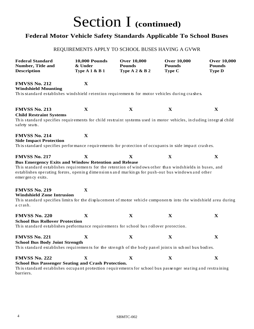#### **Federal Motor Vehicle Safety Standards Applicable To School Buses**

#### REQUIREMENTS APPLY TO SCHOOL BUSES HAVING A GVWR

| <b>Federal Standard</b><br>Number, Title and<br><b>Description</b>                                                                                                                                                                                                                                                        | <b>10,000 Pounds</b><br>& Under<br><b>Type A 1 &amp; B 1</b> | <b>Over 10,000</b><br><b>Pounds</b><br><b>Type A 2 &amp; B 2</b> | <b>Over 10,000</b><br><b>Pounds</b><br>Type C | <b>Over 10,000</b><br><b>Pounds</b><br><b>Type D</b> |
|---------------------------------------------------------------------------------------------------------------------------------------------------------------------------------------------------------------------------------------------------------------------------------------------------------------------------|--------------------------------------------------------------|------------------------------------------------------------------|-----------------------------------------------|------------------------------------------------------|
| <b>FMVSS No. 212</b><br><b>Windshield Mounting</b><br>This standard establishes windshield retention requirements for motor vehicles during crashes.                                                                                                                                                                      | $\mathbf X$                                                  |                                                                  |                                               |                                                      |
|                                                                                                                                                                                                                                                                                                                           |                                                              |                                                                  |                                               |                                                      |
| <b>FMVSS No. 213</b><br><b>Child Restraint Systems</b><br>This standard specifies requirements for child restraint systems used in motor vehicles, including integral child<br>safety seats.                                                                                                                              | $\mathbf X$                                                  | $\mathbf X$                                                      | X                                             | X                                                    |
| <b>FMVSS No. 214</b><br><b>Side Impact Protection</b><br>This standard specifies performance requirements for protection of occupants in side impact crashes.                                                                                                                                                             | X                                                            |                                                                  |                                               |                                                      |
| <b>FMVSS No. 217</b><br><b>Bus Emergency Exits and Window Retention and Release</b><br>This standard establishes requirements for the retention of windows other than windshields in buses, and<br>establishes operating forces, opening dimensions and markings for push-out bus windows and other<br>emer gen cy exits. | $\mathbf X$                                                  | $\mathbf X$                                                      | X                                             | $\mathbf X$                                          |
| <b>FMVSS No. 219</b><br><b>Windshield Zone Intrusion</b><br>This standard specifies limits for the displacement of motor vehicle components into the windshield area during<br>a crash.                                                                                                                                   | $\mathbf X$                                                  |                                                                  |                                               |                                                      |
| <b>FMVSS No. 220</b><br><b>School Bus Rollover Protection</b><br>This standard establishes performance requirements for school bus rollover protection.                                                                                                                                                                   | $\mathbf X$                                                  | $\mathbf{X}$                                                     | $\mathbf X$                                   | $\mathbf X$                                          |
| <b>FMVSS No. 221</b><br><b>School Bus Body Joint Strength</b><br>This standard establishes requirements for the strength of the body panel joints in school bus bodies.                                                                                                                                                   | X                                                            | $\mathbf X$                                                      | $\mathbf X$                                   | $\mathbf X$                                          |
| <b>FMVSS No. 222</b><br><b>School Bus Passenger Seating and Crash Protection.</b><br>This standard establishes occupant protection requirements for school bus passenger seating and restraining<br>barriers.                                                                                                             | $\mathbf X$                                                  | $\mathbf{X}$                                                     | $\mathbf X$                                   | $\mathbf X$                                          |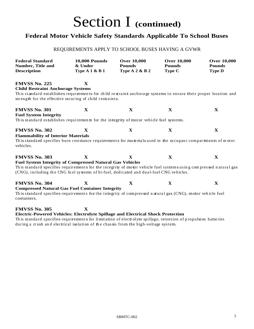#### **Federal Motor Vehicle Safety Standards Applicable To School Buses**

#### REQUIREMENTS APPLY TO SCHOOL BUSES HAVING A GVWR

| <b>Federal Standard</b><br>Number, Title and<br><b>Description</b>                                                                                                                                                                                                                                      | <b>10,000 Pounds</b><br>& Under<br><b>Type A 1 &amp; B 1</b> | <b>Over 10,000</b><br><b>Pounds</b><br><b>Type A 2 &amp; B 2</b> | <b>Over 10,000</b><br><b>Pounds</b><br>Type C | <b>Over 10,000</b><br><b>Pounds</b><br><b>Type D</b> |
|---------------------------------------------------------------------------------------------------------------------------------------------------------------------------------------------------------------------------------------------------------------------------------------------------------|--------------------------------------------------------------|------------------------------------------------------------------|-----------------------------------------------|------------------------------------------------------|
| <b>FMVSS No. 225</b><br><b>Child Restraint Anchorage Systems</b><br>This standard establishes requirements for child restraint anchorage systems to ensure their proper location and<br>strength for the effective securing of child restraints.                                                        | $\mathbf X$                                                  |                                                                  |                                               |                                                      |
| <b>FMVSS No. 301</b><br><b>Fuel System Integrity</b><br>This standard establishes requirements for the integrity of motor vehicle fuel systems.                                                                                                                                                         | $\mathbf X$                                                  | $\mathbf X$                                                      | $\mathbf X$                                   | $\mathbf X$                                          |
| <b>FMVSS No. 302</b><br><b>Flammability of Interior Materials</b><br>This standard specifies burn resistance requirements for materials used in the occupant compartments of motor<br>vehicles.                                                                                                         | $\mathbf X$                                                  | $\mathbf X$                                                      | $\mathbf X$                                   | $\mathbf X$                                          |
| <b>FMVSS No. 303</b><br><b>Fuel System Integrity of Compressed Natural Gas Vehicles</b><br>This standard specifies requirements for the integrity of motor vehicle fuel systems using compressed natural gas<br>(CNG), including the CNG fuel systems of bi-fuel, dedicated and dual-fuel CNG vehicles. | X                                                            | X                                                                | $\mathbf X$                                   | X                                                    |
| <b>FMVSS No. 304</b><br><b>Compressed Natural Gas Fuel Container Integrity</b><br>This standard specifies requirements for the integrity of compressed natural gas (CNG), motor vehicle fuel<br>containers.                                                                                             | $\mathbf{X}$                                                 | $\mathbf X$                                                      | X                                             | X                                                    |
| <b>FMVSS No. 305</b><br>Electric-Powered Vehicles: Electrolyte Spillage and Electrical Shock Protection<br>This standard specifies requirements for limitation of electrolyte spillage, retention of propulsion batteries                                                                               | $\mathbf X$                                                  |                                                                  |                                               |                                                      |

during a crash and electrical isolation of the chassis from the high-voltage system.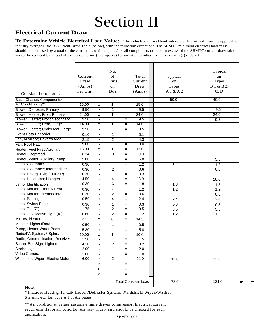## Section II

#### **Electrical Current Draw**

**To Determine Vehicle Electrical Load Value:** The vehicle electrical load values are determined from the applicable industry average SBMTC Current Draw Table (below), with the following exceptions. The SBMTC minimum electrical load value should be increased by a total of the current draw (in amperes) of all components ordered in excess of the SBMTC current draw table and/or be reduced by a total of the current draw (in amperes) for any item omitted from the vehicle(s) ordered.

|                                     | Current<br>Draw<br>(Amps) |                         | No.<br>of<br>Units<br>on |     | Total<br>Current<br>Draw   | Typical<br>on<br><b>Types</b> | Typical<br>on<br><b>Types</b><br>B 1 & B 2, |
|-------------------------------------|---------------------------|-------------------------|--------------------------|-----|----------------------------|-------------------------------|---------------------------------------------|
| <b>Constant Load Items</b>          | Per Unit                  |                         | <b>Bus</b>               |     | (Amps)                     | A 1 & A 2                     | C, D                                        |
| Basic Chassis Components*           |                           |                         |                          |     |                            | 50.0                          | 40.0                                        |
| Air Conditioning**                  | 15.00                     | X                       | 1                        | $=$ | 15.0                       |                               |                                             |
| Blower, Defroster; Primary          | 9.50                      | $\pmb{\times}$          | $\mathbf{1}$             | $=$ | 9.5                        |                               | 9.5                                         |
| Blower, Heater; Front Primary       | 24.00                     | $\pmb{\mathsf{x}}$      | 1                        | $=$ | 24.0                       |                               | 24.0                                        |
| Blower, Heater; Front Secondary     | 9.50                      | X                       | T                        | $=$ | 9.5                        |                               | 9.5                                         |
| Blower, Heater; Rear, Large         | 14.00                     | $\overline{\mathbf{x}}$ | $\overline{1}$           | $=$ | 14.0                       |                               |                                             |
| Blower, Heater; Underseat, Large    | 9.50                      | X                       | $\overline{1}$           | $=$ | 9.5                        |                               |                                             |
| <b>Event Data Recorder</b>          | 0.10                      | x                       | $\mathbf{1}$             | $=$ | 0.1                        |                               |                                             |
| Fan, Auxiliary; Driver's Area       | 2.15                      | $\pmb{\mathsf{x}}$      | $\overline{2}$           | $=$ | 4.3                        |                               |                                             |
| Fan, Roof Hatch                     | 9.00                      | X                       | T                        | $=$ | 9.0                        |                               |                                             |
| <b>Heater, Fuel Fired Auxiliary</b> | 13.00                     | $\overline{\mathbf{x}}$ | $\overline{1}$           | $=$ | 13.0                       |                               |                                             |
| Heater, Steptread                   | 6.34                      | X                       | 3                        | $=$ | 19.0                       |                               |                                             |
| Heater, Water; Auxiliary Pump       | 5.80                      | X                       | $\overline{1}$           | $=$ | 5.8                        |                               | 5.8                                         |
| Lamp, Clearance                     | 0.30                      | x                       | 4                        | $=$ | 1.2                        | 1.2                           | 1.2                                         |
| Lamp, Clearance; Intermediate       | 0.30                      | x                       | $\overline{2}$           | $=$ | 0.6                        |                               | 0.6                                         |
| Lamp, Emerg. Exit; (FMCSR)          | 0.30                      | X                       | $\overline{1}$           | $=$ | 0.3                        |                               |                                             |
| Lamp, Headlamp; Halogen             | 4.50                      | X                       | $\overline{4}$           | $=$ | 18.0                       |                               | 18.0                                        |
| Lamp, Identification                | 0.30                      | X                       | 6                        | $=$ | $\overline{1.8}$           | 1.8                           | 1.8                                         |
| Lamp, Marker; Front & Rear          | 0.30                      | x                       | 4                        | $=$ | 1.2                        | 1.2                           | 1.2                                         |
| Lamp, Marker; Intermediate          | 0.30                      | X                       | $\overline{2}$           | $=$ | 0.6                        |                               | 0.6                                         |
| Lamp, Parking                       | 0.59                      | X                       | $\overline{4}$           | $=$ | 2.4                        | 2.4                           | 2.4                                         |
| Lamp, Switch Panel                  | 0.30                      | x                       | 1                        | $=$ | 0.3                        | 0.3                           | 0.3                                         |
| Lamp, Tail (7")                     | 1.75                      | X                       | $\overline{2}$           | $=$ | 3.5                        | $\overline{3.5}$              | $\overline{3.5}$                            |
| Lamp, Tail/License Light (4")       | 0.60                      | X                       | $\overline{2}$           | $=$ | 1.2                        | 1.2                           | 1.2                                         |
| Mirrors, Heated                     | 2.41                      | X                       | 6                        | $=$ | 14.5                       |                               |                                             |
| Monitor; Lights (Doran)             | 0.50                      | x                       | 1                        | $=$ | 0.5                        |                               |                                             |
| Pump, Heater Water Boost            | 5.80                      | $\pmb{\mathsf{X}}$      | $\mathbf{1}$             | $=$ | 5.8                        |                               |                                             |
| Radio/PA System/8 Spkrs.            | 10.00                     | $\pmb{\mathsf{x}}$      | 1                        | $=$ | 10.0                       |                               |                                             |
| Radio; Communication; Receiver      | 1.50                      | $\pmb{\times}$          | $\mathbf{1}$             | $=$ | 1.5                        |                               |                                             |
| School Bus Sign; Lighted            | 4.10                      | $\pmb{\mathsf{x}}$      | $\overline{c}$           | $=$ | 8.2                        |                               |                                             |
| Strobe Light                        | 2.00                      | $\overline{\mathbf{x}}$ | T                        |     | 2.0                        |                               |                                             |
| Video Camera                        | 1.00                      | x                       | $\mathbf{1}$             | $=$ | 1.0                        |                               |                                             |
| Windshield Wiper, Electric Motor    | 6.00                      | $\overline{\mathbf{x}}$ | $\overline{2}$           | $=$ | 12.0                       | 12.0                          | 12.0                                        |
|                                     |                           | X                       |                          | $=$ |                            |                               |                                             |
|                                     |                           | $\overline{\mathbf{x}}$ |                          | $=$ |                            |                               |                                             |
|                                     |                           | $\pmb{\mathsf{x}}$      |                          | $=$ |                            |                               |                                             |
|                                     |                           |                         |                          |     | <b>Total Constant Load</b> | 73.6                          | 131.6                                       |

Note:

\* Includes Headlights, Cab Heat er/Defroster System, Windshield Wiper/Washer System, etc. for Type A 1 & A 2 buses.

6 application. SBMTC-002 \*\* Air conditioner values assume engine driven compressor. Electrical current requirements for air conditioners vary widely and should be checked for each application.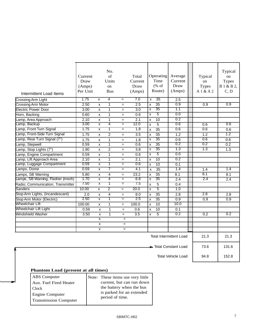| Intermittent Load Items<br><b>Crossing Arm Light</b><br><b>Crossing Arm Motor</b><br><b>Electric Power Door</b> | Current<br>Draw<br>(Amps)<br>Per Unit<br>1.75<br>2.50<br>3.00 | X<br>$\pmb{\times}$<br>X | No.<br>of<br>Units<br>on<br><b>Bus</b><br>$\overline{4}$<br>1<br>$\mathbf{1}$ | $\qquad \qquad =$<br>$=$<br>$=$ | Total<br>Current<br>Draw<br>(Amps)<br>7.0<br>2.5<br>$\overline{3.0}$ | $\overline{\mathbf{x}}$<br>$\mathsf{x}$<br>X | Operating<br>Time<br>$(% \mathcal{L}_{0}^{\infty}$ of<br>Route)<br>35<br>$\overline{35}$<br>35 | Average<br>Current<br>Draw<br>(Amps)<br>2.5<br>0.9<br>1.1 | Typical<br>on<br><b>Types</b><br>A1&A2<br>0.9 | Typical<br>on<br><b>Types</b><br>B 1 & B 2,<br>C, D<br>0.9 |
|-----------------------------------------------------------------------------------------------------------------|---------------------------------------------------------------|--------------------------|-------------------------------------------------------------------------------|---------------------------------|----------------------------------------------------------------------|----------------------------------------------|------------------------------------------------------------------------------------------------|-----------------------------------------------------------|-----------------------------------------------|------------------------------------------------------------|
| Horn, Backing                                                                                                   | 0.60                                                          | $\pmb{\times}$           | $\overline{1}$                                                                | $=$                             | 0.6                                                                  | $\overline{\mathsf{x}}$                      | $\overline{5}$                                                                                 | 0.0                                                       |                                               |                                                            |
| Lamp, Area Approach                                                                                             | 2.10                                                          | X                        | $\mathbf{1}$                                                                  | $=$                             | 2.1                                                                  | $\boldsymbol{\mathsf{x}}$                    | $\overline{10}$                                                                                | 0.2                                                       |                                               |                                                            |
| Lamp, Backup                                                                                                    | 3.00                                                          | X                        | 4                                                                             | $=$                             | 12.0                                                                 | $\mathsf{x}$                                 | $\overline{5}$                                                                                 | 0.6                                                       | 0.6                                           | 0.6                                                        |
| Lamp, Front Turn Signal                                                                                         | 1.75                                                          | X                        | 1                                                                             | $=$                             | 1.8                                                                  | $\mathsf{x}$                                 | $\overline{35}$                                                                                | 0.6                                                       | 0.6                                           | 0.6                                                        |
| Lamp, Front-Side Turn Signal                                                                                    | 1.75                                                          | X                        | $\overline{2}$                                                                | $=$                             | $\overline{3.5}$                                                     | $\mathsf{x}$                                 | $\overline{35}$                                                                                | 1.2                                                       | 1.2                                           | 1.2                                                        |
| Lamp, Rear Turn Signal (7")                                                                                     | 1.75                                                          |                          | 1                                                                             |                                 | 1.8                                                                  | $\overline{\mathsf{x}}$                      | 35                                                                                             | 0.6                                                       | 0.6                                           | 0.6                                                        |
| Lamp, Stepwell                                                                                                  | 0.59                                                          | X<br>X                   | $\mathbf{1}$                                                                  | $=$<br>$=$                      | 0.6                                                                  | X                                            | $\overline{35}$                                                                                | 0.2                                                       | 0.2                                           | 0.2                                                        |
| Lamp, Stop Lights (7")                                                                                          | 1.90                                                          | $\pmb{\times}$           | $\overline{2}$                                                                | $=$                             | $\overline{3.8}$                                                     | $\overline{\mathsf{x}}$                      | 35                                                                                             | 1.3                                                       | 1.3                                           | 1.3                                                        |
| Lamp, Engine Compartment                                                                                        | 0.59                                                          | X                        | $\mathbf{1}$                                                                  | $=$                             | 0.6                                                                  | $\boldsymbol{\mathsf{x}}$                    | $\overline{5}$                                                                                 | 0.0                                                       |                                               |                                                            |
| Lamp, Lift Approach Area                                                                                        | 2.10                                                          | x                        | 1                                                                             | $=$                             | 2.1                                                                  | X                                            | 10                                                                                             | 0.2                                                       |                                               |                                                            |
| Lamp, Luggage Compartment                                                                                       | 0.59                                                          | x                        | 1                                                                             | $=$                             | 0.6                                                                  | X                                            | 10                                                                                             | 0.1                                                       |                                               |                                                            |
| Lamps, Dome                                                                                                     | 0.59                                                          | $\mathsf{x}$             | 7                                                                             | $=$                             | 4.1                                                                  | $\mathbf{x}$                                 | $\overline{35}$                                                                                | 1.4                                                       | 1.4                                           | 1.4                                                        |
| Lamps, SB Warning                                                                                               | 5.80                                                          | $\pmb{\times}$           | 4                                                                             | $=$                             | 23.2                                                                 | $\boldsymbol{\mathsf{x}}$                    | $\overline{35}$                                                                                | 8.1                                                       | 8.1                                           | 8.1                                                        |
| Lamps, SB Warning, Flasher (mech)                                                                               | 1.70                                                          | $\overline{\mathbf{x}}$  | 4                                                                             | $=$                             | 6.8                                                                  | X                                            | 35                                                                                             | 2.4                                                       | $\overline{2.4}$                              | 2.4                                                        |
| Radio; Communication; Transmitter                                                                               | 7.50                                                          | $\overline{\mathsf{x}}$  | T                                                                             | $=$                             | 7.5                                                                  | X                                            | $\overline{5}$                                                                                 | 0.4                                                       |                                               |                                                            |
| <b>Sanders</b>                                                                                                  | 10.00                                                         | x                        | $\overline{2}$                                                                | $=$                             | 20.0                                                                 | $\overline{\mathbf{x}}$                      | $\overline{5}$                                                                                 | 1.0                                                       |                                               |                                                            |
| Stop Arm Lights, (Incandescant)                                                                                 | 2.0                                                           | $\pmb{\times}$           | 4                                                                             | $=$                             | 8.0                                                                  | X                                            | $\overline{35}$                                                                                | 2.8                                                       | 2.8                                           | 2.8                                                        |
| Stop Arm Motor (Electric)                                                                                       | 2.50                                                          | X                        | 1                                                                             | $=$                             | 2.5                                                                  | $\mathsf{x}$                                 | $\overline{35}$                                                                                | 0.9                                                       | 0.9                                           | 0.9                                                        |
| <b>Wheelchair Lift</b>                                                                                          | 100.00                                                        | x                        | 1                                                                             | $=$                             | 100.0                                                                | $\mathsf{x}$                                 | 10                                                                                             | 10.0                                                      |                                               |                                                            |
| Wheelchair Lift Light                                                                                           | 0.59                                                          | $\pmb{\times}$           | $\mathbf{1}$                                                                  | $=$                             | 0.6                                                                  | X                                            | $\overline{10}$                                                                                | 0.1                                                       |                                               |                                                            |
| Windshield Washer                                                                                               | 3.50                                                          | X                        | $\mathbf{1}$                                                                  | $=$                             | $\overline{3.5}$                                                     | X                                            | $\overline{5}$                                                                                 | 0.2                                                       | 0.2                                           | 0.2                                                        |
|                                                                                                                 |                                                               | $\overline{\mathbf{x}}$  |                                                                               | $=$                             |                                                                      |                                              |                                                                                                |                                                           |                                               |                                                            |
|                                                                                                                 |                                                               | x                        |                                                                               | $=$                             |                                                                      |                                              |                                                                                                |                                                           |                                               |                                                            |
|                                                                                                                 |                                                               | x                        |                                                                               | $=$                             |                                                                      |                                              |                                                                                                |                                                           |                                               |                                                            |
|                                                                                                                 |                                                               |                          |                                                                               |                                 |                                                                      |                                              |                                                                                                | <b>Total Intermittent Load</b>                            | 21.3                                          | 21.3                                                       |
|                                                                                                                 |                                                               |                          |                                                                               |                                 |                                                                      |                                              |                                                                                                | Total Constant Load                                       | 73.6                                          | 131.6                                                      |
|                                                                                                                 |                                                               |                          |                                                                               |                                 |                                                                      |                                              |                                                                                                | <b>Total Vehicle Load</b>                                 | 94.8                                          | 152.8                                                      |

#### **Phantom Load (present at all times)**

-1

| <b>ABS</b> Computer          | Note: These items use very little            |
|------------------------------|----------------------------------------------|
| Aux. Fuel Fired Heater       | current, but can run down                    |
| l Clock-                     | the battery when the bus                     |
| <b>Engine Computer</b>       | is parked for an extended<br>period of time. |
| <b>Transmission Computer</b> |                                              |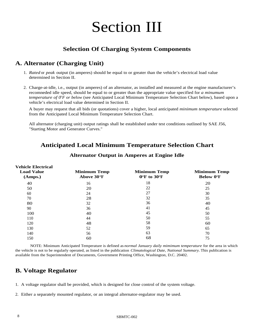## Section III

#### **Selection Of Charging System Components**

#### **A. Alternator (Charging Unit)**

- *Rated* or *peak* output (in amperes) should be equal to or greater than the vehicle's electrical load value 1. determined in Section II.
- 2. Charge-at-idle, i.e., output (in amperes) of an alternator, as installed and measured at the engine manufacturer's recomneded idle speed, should be equal to or greater than the appropriate value specified for *a minumum temperature of 0OF or below* (see Anticipated Local Minimum Temperature Selection Chart below), based upon a vehicle's electrical load value determined in Section II.

A buyer may request that all bids (or quotations) cover a higher, local anticipated *minimum temperature* selected from the Anticipated Local Minimum Temperature Selection Chart.

All alternator (charging unit) output ratings shall be established under test conditions outlined by SAE J56, "Starting Motor and Generator Curves."

#### **Anticipated Local Minimum Temperature Selection Chart**

| <b>Vehicle Electrical</b><br><b>Load Value</b><br>(Amps.) | <b>Minimum Temp</b><br>Above 30°F | <b>Minimum Temp</b><br>O <sup>o</sup> F to 30 <sup>o</sup> F | <b>Minimum Temp</b><br><b>Below 0°F</b> |
|-----------------------------------------------------------|-----------------------------------|--------------------------------------------------------------|-----------------------------------------|
| 40                                                        | 16                                | 18                                                           | 20                                      |
| 50                                                        | 20                                | 22                                                           | 25                                      |
| 60                                                        | 24                                | 27                                                           | 30                                      |
| 70                                                        | 28                                | 32                                                           | 35                                      |
| 80                                                        | 32                                | 36                                                           | 40                                      |
| 90                                                        | 36                                | 41                                                           | 45                                      |
| 100                                                       | 40                                | 45                                                           | 50                                      |
| 110                                                       | 44                                | 50                                                           | 55                                      |
| 120                                                       | 48                                | 58                                                           | 60                                      |
| 130                                                       | 52                                | 59                                                           | 65                                      |
| 140                                                       | 56                                | 63                                                           | 70                                      |
| 150                                                       | 60                                | 68                                                           | 75                                      |

#### **Alternator Output in Amperes at Engine Idle**

NOTE: Minimum Anticipated Temperature is defined as *normal January daily mimimum temperature* for the area in which the vehicle is not to be regularly operated, as listed in the publication *Climatological Date, National Summary.* This publication is available from the Superintendent of Documents, Government Printing Office, Washington, D.C. 20402.

#### **B. Voltage Regulator**

1. A voltage regulator shall be provided, which is designed for close control of the system voltage.

Either a separately mounted regulator, or an integral alternator-regulator may be used. 2.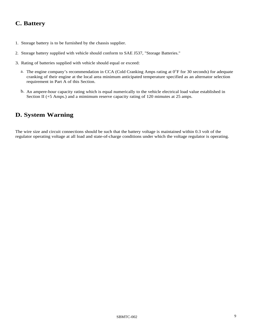#### **C. Battery**

- 1. Storage battery is to be furnished by the chassis supplier.
- 2. Storage battery supplied with vehicle should conform to SAE J537, "Storage Batteries."
- 3. Rating of batteries supplied with vehicle should equal or exceed:
	- a. The engine company's recommendation in CCA (Cold Cranking Amps rating at 0°F for 30 seconds) for adequate cranking of their engine at the local area minimum anticipated temperature specified as an alternator selection requirement in Part A of this Section.
	- b. An ampere-hour capacity rating which is equal numerically to the vehicle electrical load value established in Section II (+5 Amps.) and a mimimum reserve capacity rating of 120 mimutes at 25 amps.

#### **D. System Warning**

The wire size and circuit connections should be such that the battery voltage is maintained within 0.3 volt of the regulator operating voltage at all load and state-of-charge conditions under which the voltage regulator is operating.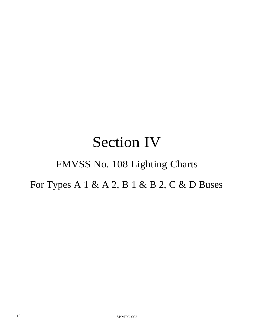### Section IV

### FMVSS No. 108 Lighting Charts

For Types A 1 & A 2, B 1 & B 2, C & D Buses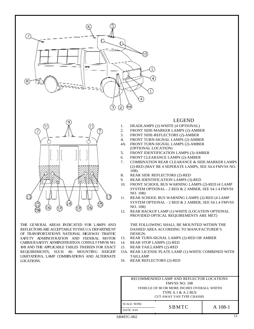



THE GENERAL AREAS INDICATED FOR LAMPS AND REFLECTORSARE ACCEPTABLE TOTHE U.S. DEPARTMENT OF TRANSPORTATION'S NATIONAL HIGHWAY TRAFFIC SAFETY ADMINISTRATION AND FEDERAL MOTOR CARRIERSAFETY ADMINISTRATION. CONSULT FMVSS NO. 108 AND THE APPLICABLE TABLES THEREIN FOR EXACT REQUIREMENTS, SUCH AS: MOUNTING HEIGHT LIMITATIONS, LAMP COMBINATIONS AND ALTERNATE LOCATIONS.

#### LEGEND

- HEADLAMPS (2)-WHITE (4 OPTIONAL) 1.
- FRONT SIDE-MARKER LAMPS (2)-AMBER 2.
- FRONT SIDE-REFLECTORS (2)-AMBER 3.
- FRONT TURN-SIGNAL LAMPS (2)-AMBER 4.
- FRONT TURN-SIGNAL LAMPS (2)-AMBER (OPTIONAL LOCATION) 4A.
- FRONT IDENTIFICATION LAMPS (3)-AMBER 5.
- FRONT CLEARANCE LAMPS (2)-AMBER 6.
- COMBINATION REAR CLEARANCE & SIDE-MARKER LAMPS (2)-RED (MAY BE 4 SEPERATE LAMPS, SEE S4.4 FMVSS NO. 108) 7.
- REAR SIDE REFLECTORS (2)-RED 8.
- REAR IDENTIFICATION LAMPS (3)-RED 9.
- FRONT SCHOOL BUS WARNING LAMPS (2)-RED (4 LAMP SYSTEM OPTIONAL - 2 RED & 2 AMBER, SEE S4.1.4 FMVSS NO. 108) 10.
- REAR SCHOOL BUS WARNING LAMPS (2)-RED (4 LAMP SYSTEM OPTIONAL - 2 RED & 2 AMBER, SEE S4.1.4 FMVSS NO. 108) 11.
- REAR BACKUP LAMP (1)-WHITE (LOCATION OPTIONAL PROVIDED OPTICAL REQUIREMENTS ARE MET) 12.

THE FOLLOWING SHALL BE MOUNTED WITHIN THE DASHED AREA ACCORDING TO MANUFACTURER'S DESIGN:

- REAR TURN-SIGNAL LAMPS (2)-RED OR AMBER 13.
- REAR STOP LAMPS (2)-RED 14.
- REAR TAILLAMPS (2)-RED 15.
- 15A. REAR LICENSE PLATE LAMP (1)-WHITE COMBINED WITH TAILLAMP
- 16. REAR REFLECTORS (2)-RED

| RECOMMENDED LAMP AND REFLECTOR LOCATIONS   |              |         |
|--------------------------------------------|--------------|---------|
| <b>FMVSS NO. 108</b>                       |              |         |
| VEHICLE OF 80 OR MORE INCHES OVERALL WIDTH |              |         |
| TYPE A $1 \& A 2 \text{ BUS}$              |              |         |
| CUT-AWAY VAN TYPE CHASSIS                  |              |         |
| <b>SCALE: NONE</b>                         | <b>SBMTC</b> | A 108-1 |
| DATE: 8-01                                 |              |         |

 $SBMTC-002$  11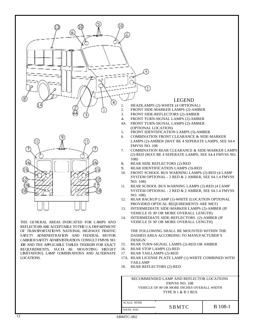



THE GENERAL AREAS INDICATED FOR LAMPS AND REFLECTORSARE ACCEPTABLE TOTHE U.S. DEPARTMENT OF TRANSPORTATIONS NATIONAL HIGHWAY TRAFFIC SAFETY ADMINISTRATION AND FEDERAL MOTOR CARRIERSAFETY ADMINISTRATION. CONSULT FMVSS NO. 108 AND THE APPLICABLE TABLES THEREIN FOR EXACT REQUIREMENTS, SUCH AS: MOUNTING HEIGHT LIMITATIONS, LAMP COMBINATIONS AND ALTERNATE LOCATIONS.

#### LEGEND

- HEADLAMPS (2)-WHITE (4 OPTIONAL)
- FRONT SIDE-MARKER LAMPS (2)-AMBER
- FRONT SIDE-REFLECTORS (2)-AMBER
- FRONT TURN-SIGNAL LAMPS (2)-AMBER 4.
- FRONT TURN-SIGNAL LAMPS (2)-AMBER (OPTIONAL LOCATION) 4A.
- FRONT IDENTIFICATION LAMPS (3)-AMBER 5.
- COMBINATION FRONT CLEARANCE & SIDE-MARKER 6.
- LAMPS (2)-AMBER (MAY BE 4 SEPERATE LAMPS, SEE S4.4 FMVSS NO. 108
- COMBINATION REAR CLEARANCE & SIDE-MARKER LAMPS (2)-RED (MAY BE 4 SEPERATE LAMPS, SEE S4.4 FMVSS NO. 108) 7.
- REAR SIDE REFLECTORS (2)-RED 8.
- REAR IDENTIFICATION LAMPS (3)-RED 9.
- FRONT SCHOOL BUS WARNING LAMPS (2)-RED (4 LAMP SYSTEM OPTIONAL - 2 RED & 2 AMBER, SEE S4.1.4 FMVSS NO. 108) 10.
- REAR SCHOOL BUS WARNING LAMPS (2)-RED (4 LAMP SYSTEM OPTIONAL - 2 RED & 2 AMBER, SEE S4.1.4 FMVSS NO. 108) 11.
- REAR BACKUP LAMP (1)-WHITE (LOCATION OPTIONAL PROVIDED OPTICAL REQUIREMENTS ARE MET) 12.
- INTERMEDIATE SIDE-MARKER LAMPS (2)-AMBER (IF VEHICLE IS 30' OR MORE OVERALL LENGTH) 13.
- INTERMEDIATE SIDE-REFLECTORS (2)-AMBER (IF VEHICLE IS 30' OR MORE OVERALL LENGTH) 14.

THE FOLLOWING SHALL BE MOUNTED WITHIN THE DASHED AREA ACCORDING TO MANUFACTURER'S DESIGN:

- REAR TURN-SIGNAL LAMPS (2)-RED OR AMBER 15.
- REAR STOP LAMPS (2)-RED 16.
- REAR TAILLAMPS (2)-RED 17.
- 17A. REAR LICENSE PLATE LAMP (1)-WHITE COMBINED WITH TAILLAMP
- REAR REFLECTORS (2)-RED 18.

| RECOMMENDED LAMP AND REFLECTOR LOCATIONS   |       |                |  |
|--------------------------------------------|-------|----------------|--|
| <b>FMVSS NO. 108</b>                       |       |                |  |
| VEHICLE OF 80 OR MORE INCHES OVERALL WIDTH |       |                |  |
| TYPE B 1 & B 2 BUS                         |       |                |  |
|                                            |       |                |  |
| <b>SCALE: NONE</b>                         |       |                |  |
| DATE: 8-01                                 | SBMTC | <b>B</b> 108-1 |  |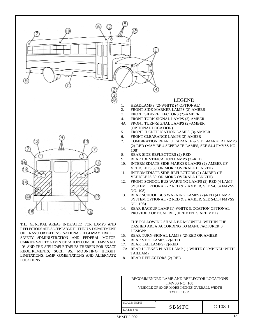

REFLECTORSARE ACCEPTABLE TOTHE U.S. DEPARTMENT OF TRANSPORTATIONS NATIONAL HIGHWAY TRAFFIC SAFETY ADMINISTRATION AND FEDERAL MOTOR CARRIERSAFETYADMINISTRATION. CONSULT FMVSS NO. 108 AND THE APPLICABLE TABLES THEREIN FOR EXACT REQUIREMENTS, SUCH AS: MOUNTING HEIGHT LIMITATIONS, LAMP COMBINATIONS AND ALTERNATE LOCATIONS.

- REAR TURN-SIGNAL LAMPS (2)-RED OR AMBER 15.
- REAR STOP LAMPS (2)-RED 16.
- REAR TAILLAMPS (2)-RED 17.

DESIGN:

- 17A. REAR LICENSE PLATE LAMP (1)-WHITE COMBINED WITH TAILLAMP
- REAR REFLECTORS (2)-RED 18.

| RECOMMENDED LAMP AND REFLECTOR LOCATIONS   |              |           |
|--------------------------------------------|--------------|-----------|
| <b>FMVSS NO. 108</b>                       |              |           |
| VEHICLE OF 80 OR MORE INCHES OVERALL WIDTH |              |           |
| TYPE C BUS                                 |              |           |
|                                            |              |           |
| <b>SCALE: NONE</b>                         |              |           |
|                                            | <b>SBMTC</b> | $C$ 108-1 |
| <b>DATE: 8-01</b>                          |              |           |
|                                            |              |           |

 $SBMTC-002$  13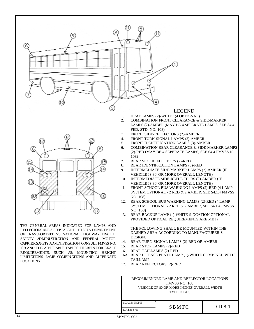

# 6 (15) 06

THE GENERAL AREAS INDICATED FOR LAMPS AND REFLECTORSARE ACCEPTABLE TOTHE U.S. DEPARTMENT OF TRANSPORTATIONS NATIONAL HIGHWAY TRAFFIC SAFETY ADMINISTRATION AND FEDERAL MOTOR CARRIERSAFETY ADMINISTRATION. CONSULT FMVSS NO. 108 AND THE APPLICABLE TABLES THEREIN FOR EXACT REQUIREMENTS, SUCH AS: MOUNTING HEIGHT LIMITATIONS, LAMP COMBINATIONS AND ALTERNATE LOCATIONS.

#### LEGEND

- HEADLAMPS (2)-WHITE (4 OPTIONAL) 1.
- COMBINATION FRONT CLEARANCE & SIDE-MARKER LAMPS (2)-AMBER (MAY BE 4 SEPERATE LAMPS, SEE S4.4 FED. STD. NO. 108) 2.
- FRONT SIDE-REFLECTORS (2)-AMBER 3.
- FRONT TURN-SIGNAL LAMPS (2)-AMBER 4.
- FRONT IDENTIFICATION LAMPS (3)-AMBER 5.
- COMBINATION REAR CLEARANCE & SIDE-MARKER LAMPS (2)-RED (MAY BE 4 SEPERATE LAMPS, SEE S4.4 FMVSS NO. 108) 6.
- REAR SIDE REFLECTORS (2)-RED 7.
- REAR IDENTIFICATION LAMPS (3)-RED 8.
- INTERMEDIATE SIDE-MARKER LAMPS (2)-AMBER (IF VEHICLE IS 30' OR MORE OVERALL LENGTH) 9.
- INTERMEDIATE SIDE-REFLECTORS (2)-AMBER (IF VEHICLE IS 30' OR MORE OVERALL LENGTH) 10.
- FRONT SCHOOL BUS WARNING LAMPS (2)-RED (4 LAMP SYSTEM OPTIONAL - 2 RED & 2 AMBER, SEE S4.1.4 FMVSS NO. 108) 11.
- REAR SCHOOL BUS WARNING LAMPS (2)-RED (4 LAMP SYSTEM OPTIONAL - 2 RED & 2 AMBER, SEE S4.1.4 FMVSS NO. 108) 12.
- REAR BACKUP LAMP (1)-WHITE (LOCATION OPTIONAL PROVIDED OPTICAL REQUIREMENTS ARE MET) 13.

THE FOLLOWING SHALL BE MOUNTED WITHIN THE DASHED AREA ACCORDING TO MANUFACTURER'S DESIGN:

- REAR TURN-SIGNAL LAMPS (2)-RED OR AMBER 14.
- REAR STOP LAMPS (2)-RED 15.
- REAR TAILLAMPS (2)-RED 16.
- 16A. REAR LICENSE PLATE LAMP (1)-WHITE COMBINED WITH TAILLAMP
- 17. REAR REFLECTORS (2)-RED

| RECOMMENDED LAMP AND REFLECTOR LOCATIONS   |              |           |
|--------------------------------------------|--------------|-----------|
| <b>FMVSS NO. 108</b>                       |              |           |
| VEHICLE OF 80 OR MORE INCHES OVERALL WIDTH |              |           |
| TYPE D BUS                                 |              |           |
|                                            |              |           |
| <b>SCALE: NONE</b>                         |              |           |
| <b>DATE: 8-01</b>                          | <b>SBMTC</b> | $D$ 108-1 |
|                                            |              |           |